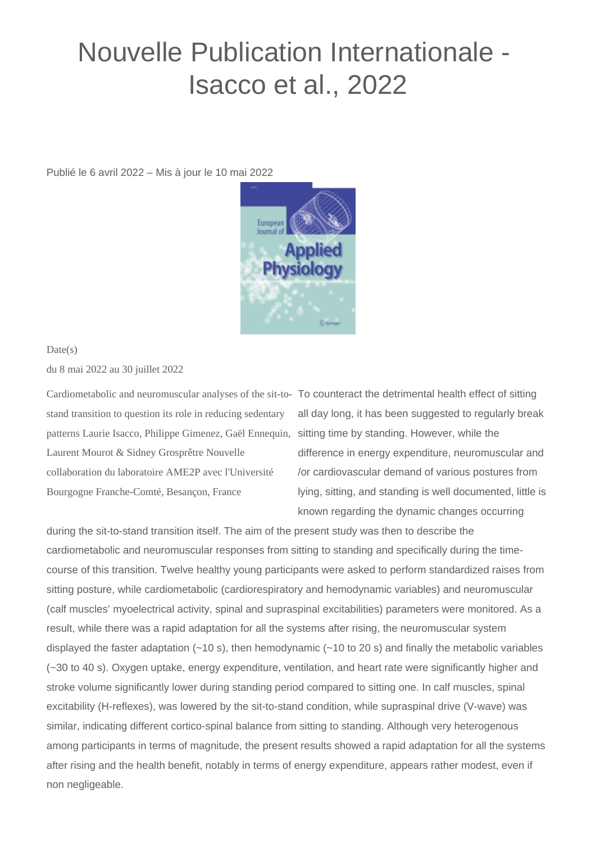## Nouvelle Publication Internationale - Isacco et al., 2022

Publié le 6 avril 2022 – Mis à jour le 10 mai 2022



## $Date(s)$

du 8 mai 2022 au 30 juillet 2022

stand transition to question its role in reducing sedentary patterns Laurie Isacco, Philippe Gimenez, Gaël Ennequin, sitting time by standing. However, while the Laurent Mourot & Sidney Grosprêtre Nouvelle collaboration du laboratoire AME2P avec l'Université Bourgogne Franche-Comté, Besançon, France

Cardiometabolic and neuromuscular analyses of the sit-to-To counteract the detrimental health effect of sitting all day long, it has been suggested to regularly break difference in energy expenditure, neuromuscular and /or cardiovascular demand of various postures from lying, sitting, and standing is well documented, little is known regarding the dynamic changes occurring

during the sit-to-stand transition itself. The aim of the present study was then to describe the cardiometabolic and neuromuscular responses from sitting to standing and specifically during the timecourse of this transition. Twelve healthy young participants were asked to perform standardized raises from sitting posture, while cardiometabolic (cardiorespiratory and hemodynamic variables) and neuromuscular (calf muscles' myoelectrical activity, spinal and supraspinal excitabilities) parameters were monitored. As a result, while there was a rapid adaptation for all the systems after rising, the neuromuscular system displayed the faster adaptation  $(-10 \text{ s})$ , then hemodynamic  $(-10 \text{ to } 20 \text{ s})$  and finally the metabolic variables (~30 to 40 s). Oxygen uptake, energy expenditure, ventilation, and heart rate were significantly higher and stroke volume significantly lower during standing period compared to sitting one. In calf muscles, spinal excitability (H-reflexes), was lowered by the sit-to-stand condition, while supraspinal drive (V-wave) was similar, indicating different cortico-spinal balance from sitting to standing. Although very heterogenous among participants in terms of magnitude, the present results showed a rapid adaptation for all the systems after rising and the health benefit, notably in terms of energy expenditure, appears rather modest, even if non negligeable.